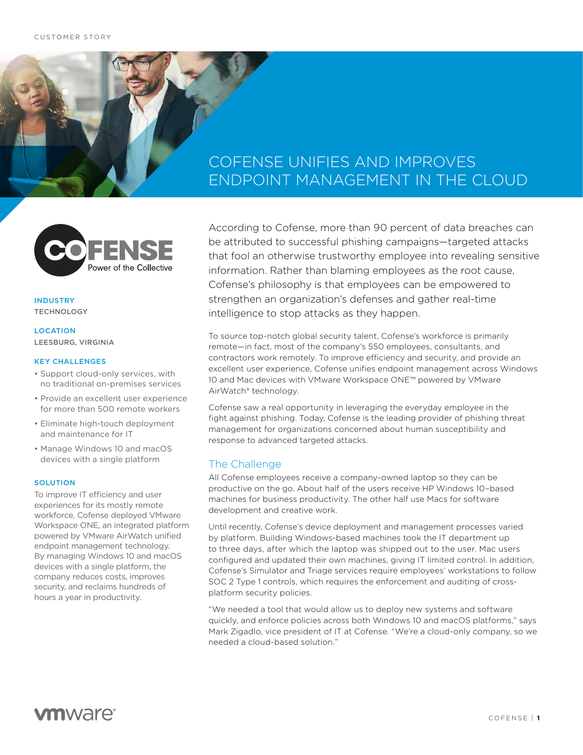## COFENSE UNIFIES AND IMPROVES ENDPOINT MANAGEMENT IN THE CLOUD



### INDUSTRY **TECHNOLOGY**

## **LOCATION** LEESBURG, VIRGINIA

#### KEY CHALLENGES

- Support cloud-only services, with no traditional on-premises services
- Provide an excellent user experience for more than 500 remote workers
- Eliminate high-touch deployment and maintenance for IT
- Manage Windows 10 and macOS devices with a single platform

#### **SOLUTION**

To improve IT efficiency and user experiences for its mostly remote workforce, Cofense deployed VMware Workspace ONE, an integrated platform powered by VMware AirWatch unified endpoint management technology. By managing Windows 10 and macOS devices with a single platform, the company reduces costs, improves security, and reclaims hundreds of hours a year in productivity.

According to Cofense, more than 90 percent of data breaches can be attributed to successful phishing campaigns—targeted attacks that fool an otherwise trustworthy employee into revealing sensitive information. Rather than blaming employees as the root cause, Cofense's philosophy is that employees can be empowered to strengthen an organization's defenses and gather real-time intelligence to stop attacks as they happen.

To source top-notch global security talent, Cofense's workforce is primarily remote—in fact, most of the company's 550 employees, consultants, and contractors work remotely. To improve efficiency and security, and provide an excellent user experience, Cofense unifies endpoint management across Windows 10 and Mac devices with VMware Workspace ONE™ powered by VMware AirWatch® technology.

Cofense saw a real opportunity in leveraging the everyday employee in the fight against phishing. Today, Cofense is the leading provider of phishing threat management for organizations concerned about human susceptibility and response to advanced targeted attacks.

## The Challenge

All Cofense employees receive a company-owned laptop so they can be productive on the go. About half of the users receive HP Windows 10–based machines for business productivity. The other half use Macs for software development and creative work.

Until recently, Cofense's device deployment and management processes varied by platform. Building Windows-based machines took the IT department up to three days, after which the laptop was shipped out to the user. Mac users configured and updated their own machines, giving IT limited control. In addition, Cofense's Simulator and Triage services require employees' workstations to follow SOC 2 Type 1 controls, which requires the enforcement and auditing of crossplatform security policies.

"We needed a tool that would allow us to deploy new systems and software quickly, and enforce policies across both Windows 10 and macOS platforms," says Mark Zigadlo, vice president of IT at Cofense. "We're a cloud-only company, so we needed a cloud-based solution."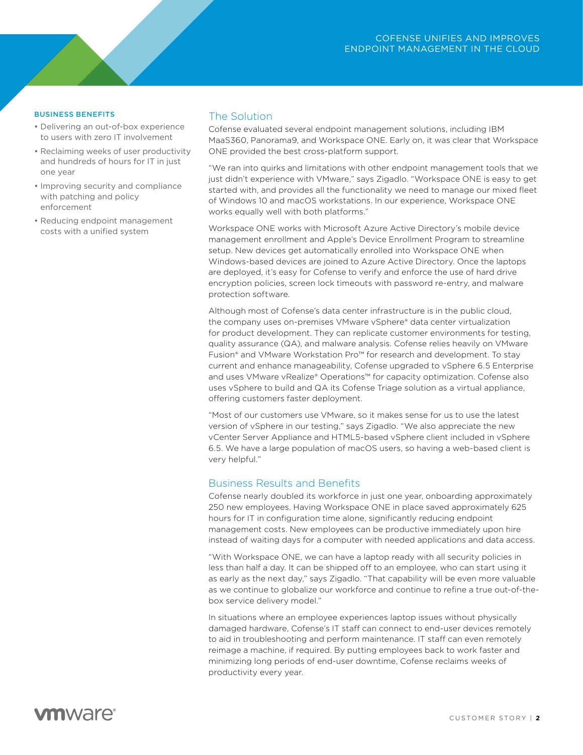### BUSINESS BENEFITS

- Delivering an out-of-box experience to users with zero IT involvement
- Reclaiming weeks of user productivity and hundreds of hours for IT in just one year
- Improving security and compliance with patching and policy enforcement
- Reducing endpoint management costs with a unified system

## The Solution

Cofense evaluated several endpoint management solutions, including IBM MaaS360, Panorama9, and Workspace ONE. Early on, it was clear that Workspace ONE provided the best cross-platform support.

"We ran into quirks and limitations with other endpoint management tools that we just didn't experience with VMware," says Zigadlo. "Workspace ONE is easy to get started with, and provides all the functionality we need to manage our mixed fleet of Windows 10 and macOS workstations. In our experience, Workspace ONE works equally well with both platforms."

Workspace ONE works with Microsoft Azure Active Directory's mobile device management enrollment and Apple's Device Enrollment Program to streamline setup. New devices get automatically enrolled into Workspace ONE when Windows-based devices are joined to Azure Active Directory. Once the laptops are deployed, it's easy for Cofense to verify and enforce the use of hard drive encryption policies, screen lock timeouts with password re-entry, and malware protection software.

Although most of Cofense's data center infrastructure is in the public cloud, the company uses on-premises VMware vSphere® data center virtualization for product development. They can replicate customer environments for testing, quality assurance (QA), and malware analysis. Cofense relies heavily on VMware Fusion® and VMware Workstation Pro™ for research and development. To stay current and enhance manageability, Cofense upgraded to vSphere 6.5 Enterprise and uses VMware vRealize® Operations™ for capacity optimization. Cofense also uses vSphere to build and QA its Cofense Triage solution as a virtual appliance, offering customers faster deployment.

"Most of our customers use VMware, so it makes sense for us to use the latest version of vSphere in our testing," says Zigadlo. "We also appreciate the new vCenter Server Appliance and HTML5-based vSphere client included in vSphere 6.5. We have a large population of macOS users, so having a web-based client is very helpful."

## Business Results and Benefits

Cofense nearly doubled its workforce in just one year, onboarding approximately 250 new employees. Having Workspace ONE in place saved approximately 625 hours for IT in configuration time alone, significantly reducing endpoint management costs. New employees can be productive immediately upon hire instead of waiting days for a computer with needed applications and data access.

"With Workspace ONE, we can have a laptop ready with all security policies in less than half a day. It can be shipped off to an employee, who can start using it as early as the next day," says Zigadlo. "That capability will be even more valuable as we continue to globalize our workforce and continue to refine a true out-of-thebox service delivery model."

In situations where an employee experiences laptop issues without physically damaged hardware, Cofense's IT staff can connect to end-user devices remotely to aid in troubleshooting and perform maintenance. IT staff can even remotely reimage a machine, if required. By putting employees back to work faster and minimizing long periods of end-user downtime, Cofense reclaims weeks of productivity every year.